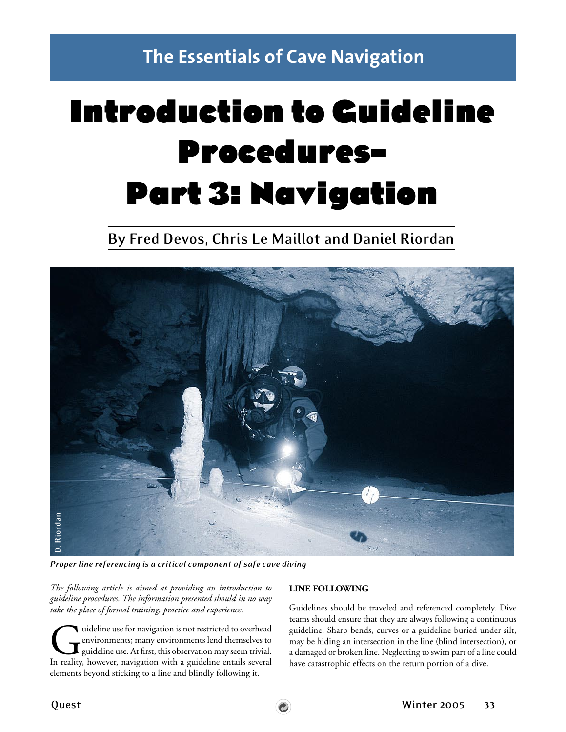**The Essentials of Cave Navigation**

# Introduction to Guideline Procedures– Part 3: Navigation

**By Fred Devos, Chris Le Maillot and Daniel Riordan**



*The following article is aimed at providing an introduction to guideline procedures. The information presented should in no way take the place of formal training, practice and experience.*

Guideline use for navigation is not restricted to overhead<br>environments; many environments lend themselves to<br>guideline use. At first, this observation may seem trivial.<br>In reality, however, navigation with a guideline ent environments; many environments lend themselves to guideline use. At first, this observation may seem trivial. In reality, however, navigation with a guideline entails several elements beyond sticking to a line and blindly following it.

#### **LINE FOLLOWING**

Guidelines should be traveled and referenced completely. Dive teams should ensure that they are always following a continuous guideline. Sharp bends, curves or a guideline buried under silt, may be hiding an intersection in the line (blind intersection), or a damaged or broken line. Neglecting to swim part of a line could have catastrophic effects on the return portion of a dive.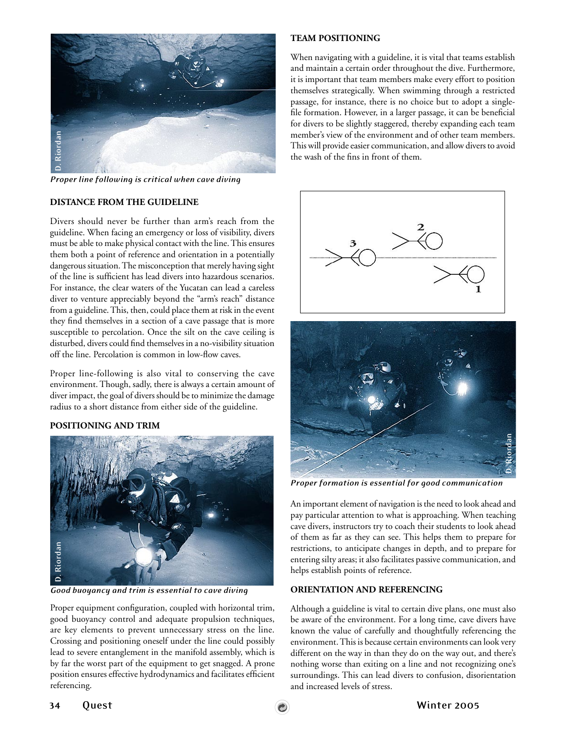

### **DISTANCE FROM THE GUIDELINE**

Divers should never be further than arm's reach from the guideline. When facing an emergency or loss of visibility, divers must be able to make physical contact with the line. This ensures them both a point of reference and orientation in a potentially dangerous situation. The misconception that merely having sight of the line is sufficient has lead divers into hazardous scenarios. For instance, the clear waters of the Yucatan can lead a careless diver to venture appreciably beyond the "arm's reach" distance from a guideline. This, then, could place them at risk in the event they find themselves in a section of a cave passage that is more susceptible to percolation. Once the silt on the cave ceiling is disturbed, divers could find themselves in a no-visibility situation off the line. Percolation is common in low-flow caves.

Proper line-following is also vital to conserving the cave environment. Though, sadly, there is always a certain amount of diver impact, the goal of divers should be to minimize the damage radius to a short distance from either side of the guideline.

### **POSITIONING AND TRIM**



Proper equipment configuration, coupled with horizontal trim, good buoyancy control and adequate propulsion techniques, are key elements to prevent unnecessary stress on the line. Crossing and positioning oneself under the line could possibly lead to severe entanglement in the manifold assembly, which is by far the worst part of the equipment to get snagged. A prone position ensures effective hydrodynamics and facilitates efficient referencing.

# **TEAM POSITIONING**

When navigating with a guideline, it is vital that teams establish and maintain a certain order throughout the dive. Furthermore, it is important that team members make every effort to position themselves strategically. When swimming through a restricted passage, for instance, there is no choice but to adopt a singlefile formation. However, in a larger passage, it can be beneficial for divers to be slightly staggered, thereby expanding each team member's view of the environment and of other team members. This will provide easier communication, and allow divers to avoid the wash of the fins in front of them.



*Proper formation is essential for good communication*

An important element of navigation is the need to look ahead and pay particular attention to what is approaching. When teaching cave divers, instructors try to coach their students to look ahead of them as far as they can see. This helps them to prepare for restrictions, to anticipate changes in depth, and to prepare for entering silty areas; it also facilitates passive communication, and helps establish points of reference.

### **ORIENTATION AND REFERENCING**

Although a guideline is vital to certain dive plans, one must also be aware of the environment. For a long time, cave divers have known the value of carefully and thoughtfully referencing the environment. This is because certain environments can look very different on the way in than they do on the way out, and there's nothing worse than exiting on a line and not recognizing one's surroundings. This can lead divers to confusion, disorientation and increased levels of stress.